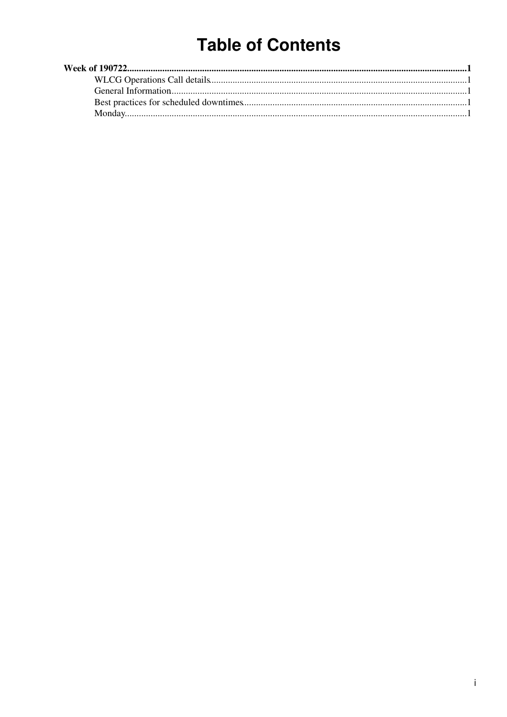# **Table of Contents**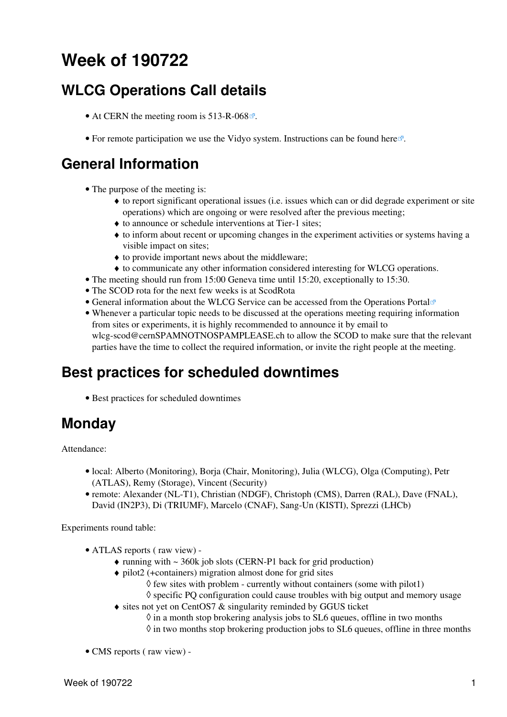# <span id="page-1-0"></span>**Week of 190722**

## <span id="page-1-1"></span>**WLCG Operations Call details**

- At CERN the meeting room is [513-R-068](https://maps.cern.ch/mapsearch/mapsearch.htm?n=%5b%27513/R-068%27%5d) $\degree$ .
- For remote participation we use the Vidyo system. Instructions can be found [here](https://indico.cern.ch/conferenceDisplay.py?confId=287280)  $\mathbb{F}$ .

### <span id="page-1-2"></span>**General Information**

- The purpose of the meeting is:
	- to report significant operational issues (i.e. issues which can or did degrade experiment or site ♦ operations) which are ongoing or were resolved after the previous meeting;
	- ♦ to announce or schedule interventions at Tier-1 sites;
	- to inform about recent or upcoming changes in the experiment activities or systems having a ♦ visible impact on sites;
	- ♦ to provide important news about the middleware;
	- ♦ to communicate any other information considered interesting for WLCG operations.
- The meeting should run from 15:00 Geneva time until 15:20, exceptionally to 15:30.
- The SCOD rota for the next few weeks is at [ScodRota](https://twiki.cern.ch/twiki/bin/view/LCG/ScodRota)
- General information about the WLCG Service can be accessed from the [Operations Portal](https://wlcg-ops.web.cern.ch/)
- Whenever a particular topic needs to be discussed at the operations meeting requiring information from sites or experiments, it is highly recommended to announce it by email to [wlcg-scod@cernSPAMNOTNOSPAMPLEASE.ch](mailto:wlcg-scod@cernSPAMNOTNOSPAMPLEASE.ch) to allow the SCOD to make sure that the relevant parties have the time to collect the required information, or invite the right people at the meeting.

### <span id="page-1-3"></span>**Best practices for scheduled downtimes**

• [Best practices for scheduled downtimes](https://twiki.cern.ch/twiki/bin/view/LCG/BestPracticesForSchedDT)

## <span id="page-1-4"></span>**Monday**

Attendance:

- local: Alberto (Monitoring), Borja (Chair, Monitoring), Julia (WLCG), Olga (Computing), Petr (ATLAS), Remy (Storage), Vincent (Security)
- remote: Alexander (NL-T1), Christian (NDGF), Christoph (CMS), Darren [\(RAL](https://twiki.cern.ch/twiki/bin/view/LCG/RAL)), Dave (FNAL), David [\(IN2P3](https://twiki.cern.ch/twiki/bin/view/LCG/IN2P3)), Di (TRIUMF), Marcelo (CNAF), Sang-Un (KISTI), Sprezzi (LHCb)

Experiments round table:

- ATLAS [reports](https://twiki.cern.ch/twiki/bin/view/AtlasComputing/ADCOperationsWeeklySummaries2019) ( [raw view](https://twiki.cern.ch/twiki/bin/view/AtlasComputing/ADCOperationsWeeklySummaries2019?raw=on)) •
	- $\triangle$  running with  $\sim$  360k job slots (CERN-P1 back for grid production)
	- pilot2 (+containers) migration almost done for grid sites ♦
		- $\Diamond$  few sites with problem currently without containers (some with pilot1)
		- $\Diamond$  specific PO configuration could cause troubles with big output and memory usage
	- [sites not yet on CentOS7 & singularity](https://twiki.cern.ch/twiki/bin/view/AtlasComputing/CentOS7Deployment) reminded by GGUS ticket
		- $\Diamond$  in a month stop brokering analysis jobs to SL6 queues, offline in two months  $\Diamond$  in two months stop brokering production jobs to SL6 queues, offline in three months
- CMS [reports](https://twiki.cern.ch/twiki/bin/view/CMS/FacOps_WLCGdailyreports) ( [raw view](https://twiki.cern.ch/twiki/bin/view/CMS/FacOps_WLCGdailyreports?raw=on)) -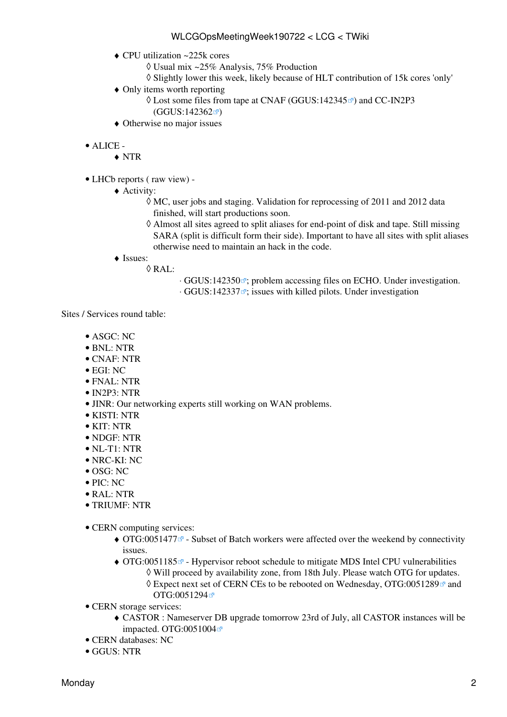- CPU utilization ~225k cores ♦
	- ◊ Usual mix ~25% Analysis, 75% Production
	- ◊ Slightly lower this week, likely because of HLT contribution of 15k cores 'only'
- Only items worth reporting ♦
	- $\Diamond$  Lost some files from tape at CNAF ([GGUS:142345](https://ggus.eu/ws/ticket_info.php?ticket=142345) $\degree$ ) and CC-IN2P3  $(GGUS:142362 \times )$  $(GGUS:142362 \times )$  $(GGUS:142362 \times )$
- ♦ Otherwise no major issues
- ALICE •
	- ♦ NTR

LHCb [reports](https://twiki.cern.ch/twiki/bin/view/LHCb/ProductionOperationsWLCGdailyReports) ( [raw view\)](https://twiki.cern.ch/twiki/bin/view/LHCb/ProductionOperationsWLCGdailyReports?raw=on) - •

- Activity: ♦
	- MC, user jobs and staging. Validation for reprocessing of 2011 and 2012 data ◊ finished, will start productions soon.
	- Almost all sites agreed to split aliases for end-point of disk and tape. Still missing ◊ SARA (split is difficult form their side). Important to have all sites with split aliases otherwise need to maintain an hack in the code.
- ◆ Issues:
	- [RAL:](https://twiki.cern.ch/twiki/bin/view/LCG/RAL) ◊
- ⋅ [GGUS:142350](https://ggus.eu/ws/ticket_info.php?ticket=142350) ; problem accessing files on ECHO. Under investigation.
- ⋅ [GGUS:142337](https://ggus.eu/ws/ticket_info.php?ticket=142337) ; issues with killed pilots. Under investigation

Sites / Services round table:

- ASGC: NC
- BNL: NTR
- CNAF: NTR
- $\bullet$  EGI $\cdot$  NC
- FNAL: NTR
- IN2P3: NTR
- JINR: Our networking experts still working on WAN problems.
- KISTI: NTR
- KIT: NTR
- NDGF: NTR
- NL-T1: NTR
- NRC-KI: NC
- OSG: NC
- PIC: NC
- RAL: NTR
- TRIUMF: NTR
- CERN computing services:
	- OTG:0051477<sup>®</sup> Subset of Batch workers were affected over the weekend by connectivity issues.
	- OTG:0051185<sup>®</sup> Hypervisor reboot schedule to mitigate MDS Intel CPU vulnerabilities ◊ Will proceed by availability zone, from 18th July. Please watch OTG for updates.
		- ◊ Expect next set of CERN CEs to be rebooted on Wednesday, [OTG:0051289](https://cern.service-now.com/service-portal?id=outage&n=OTG0051289) and [OTG:0051294](https://cern.service-now.com/service-portal?id=outage&n=OTG0051294)
- CERN storage services:
	- CASTOR : Nameserver DB upgrade tomorrow 23rd of July, all CASTOR instances will be ♦ impacted. [OTG:0051004](https://cern.service-now.com/service-portal?id=outage&n=OTG0051004)
- CERN databases: NC
- GGUS: NTR